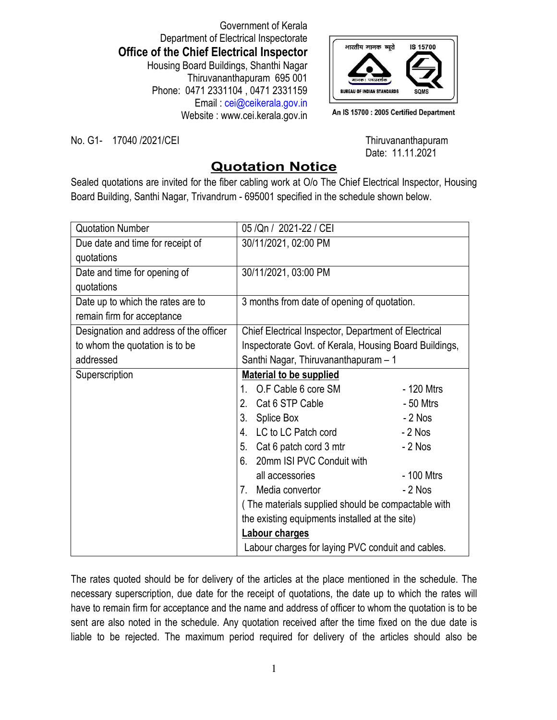Government of Kerala Department of Electrical Inspectorate **Office of the Chief Electrical Inspector** Housing Board Buildings, Shanthi Nagar Thiruvananthapuram 695 001 Phone: 0471 2331104 , 0471 2331159 Email : cei@ceikerala.gov.in Website : www.cei.kerala.gov.in



An IS 15700 : 2005 Certified Department

No. G1- 17040 /2021/CEI No. G1- 17040 /2021/CEI

Date: 11.11.2021

## **Quotation Notice**

Sealed quotations are invited for the fiber cabling work at O/o The Chief Electrical Inspector, Housing Board Building, Santhi Nagar, Trivandrum - 695001 specified in the schedule shown below.

| <b>Quotation Number</b>                | 05 / Qn / 2021-22 / CEI                                             |            |
|----------------------------------------|---------------------------------------------------------------------|------------|
| Due date and time for receipt of       | 30/11/2021, 02:00 PM                                                |            |
| quotations                             |                                                                     |            |
| Date and time for opening of           | 30/11/2021, 03:00 PM                                                |            |
| quotations                             |                                                                     |            |
| Date up to which the rates are to      | 3 months from date of opening of quotation.                         |            |
| remain firm for acceptance             |                                                                     |            |
| Designation and address of the officer | Chief Electrical Inspector, Department of Electrical                |            |
| to whom the quotation is to be         | Inspectorate Govt. of Kerala, Housing Board Buildings,              |            |
| addressed                              | Santhi Nagar, Thiruvananthapuram - 1                                |            |
| Superscription                         | <b>Material to be supplied</b>                                      |            |
|                                        | O.F Cable 6 core SM<br>1.                                           | - 120 Mtrs |
|                                        | Cat 6 STP Cable<br>2.                                               | $-50$ Mtrs |
|                                        | 3.<br>Splice Box                                                    | $-2$ Nos   |
|                                        | 4.<br>LC to LC Patch cord                                           | $-2$ Nos   |
|                                        | Cat 6 patch cord 3 mtr<br>5.                                        | $-2$ Nos   |
|                                        | 20mm ISI PVC Conduit with<br>6.                                     |            |
|                                        | all accessories                                                     | - 100 Mtrs |
|                                        | Media convertor<br>$7_{\scriptscriptstyle{\sim}}$                   | $-2$ Nos   |
|                                        | (The materials supplied should be compactable with                  |            |
|                                        | the existing equipments installed at the site)                      |            |
|                                        | Labour charges<br>Labour charges for laying PVC conduit and cables. |            |
|                                        |                                                                     |            |

The rates quoted should be for delivery of the articles at the place mentioned in the schedule. The necessary superscription, due date for the receipt of quotations, the date up to which the rates will have to remain firm for acceptance and the name and address of officer to whom the quotation is to be sent are also noted in the schedule. Any quotation received after the time fixed on the due date is liable to be rejected. The maximum period required for delivery of the articles should also be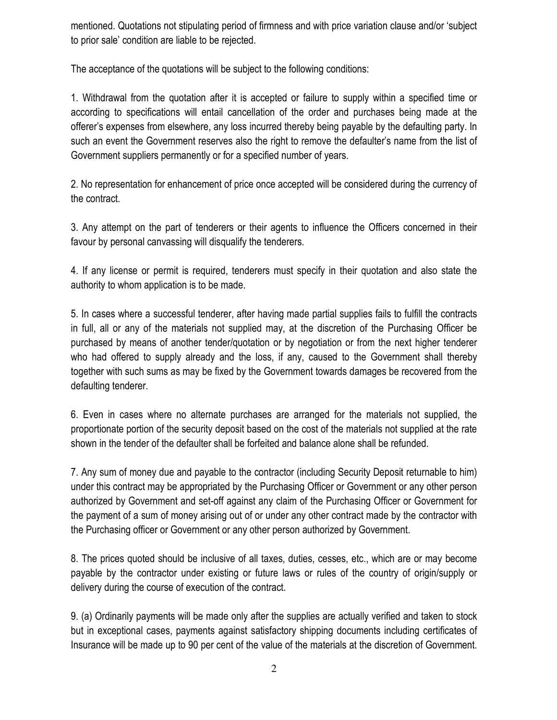mentioned. Quotations not stipulating period of firmness and with price variation clause and/or 'subject to prior sale' condition are liable to be rejected.

The acceptance of the quotations will be subject to the following conditions:

1. Withdrawal from the quotation after it is accepted or failure to supply within a specified time or according to specifications will entail cancellation of the order and purchases being made at the offerer's expenses from elsewhere, any loss incurred thereby being payable by the defaulting party. In such an event the Government reserves also the right to remove the defaulter's name from the list of Government suppliers permanently or for a specified number of years.

2. No representation for enhancement of price once accepted will be considered during the currency of the contract.

3. Any attempt on the part of tenderers or their agents to influence the Officers concerned in their favour by personal canvassing will disqualify the tenderers.

4. If any license or permit is required, tenderers must specify in their quotation and also state the authority to whom application is to be made.

5. In cases where a successful tenderer, after having made partial supplies fails to fulfill the contracts in full, all or any of the materials not supplied may, at the discretion of the Purchasing Officer be purchased by means of another tender/quotation or by negotiation or from the next higher tenderer who had offered to supply already and the loss, if any, caused to the Government shall thereby together with such sums as may be fixed by the Government towards damages be recovered from the defaulting tenderer.

6. Even in cases where no alternate purchases are arranged for the materials not supplied, the proportionate portion of the security deposit based on the cost of the materials not supplied at the rate shown in the tender of the defaulter shall be forfeited and balance alone shall be refunded.

7. Any sum of money due and payable to the contractor (including Security Deposit returnable to him) under this contract may be appropriated by the Purchasing Officer or Government or any other person authorized by Government and set-off against any claim of the Purchasing Officer or Government for the payment of a sum of money arising out of or under any other contract made by the contractor with the Purchasing officer or Government or any other person authorized by Government.

8. The prices quoted should be inclusive of all taxes, duties, cesses, etc., which are or may become payable by the contractor under existing or future laws or rules of the country of origin/supply or delivery during the course of execution of the contract.

9. (a) Ordinarily payments will be made only after the supplies are actually verified and taken to stock but in exceptional cases, payments against satisfactory shipping documents including certificates of Insurance will be made up to 90 per cent of the value of the materials at the discretion of Government.